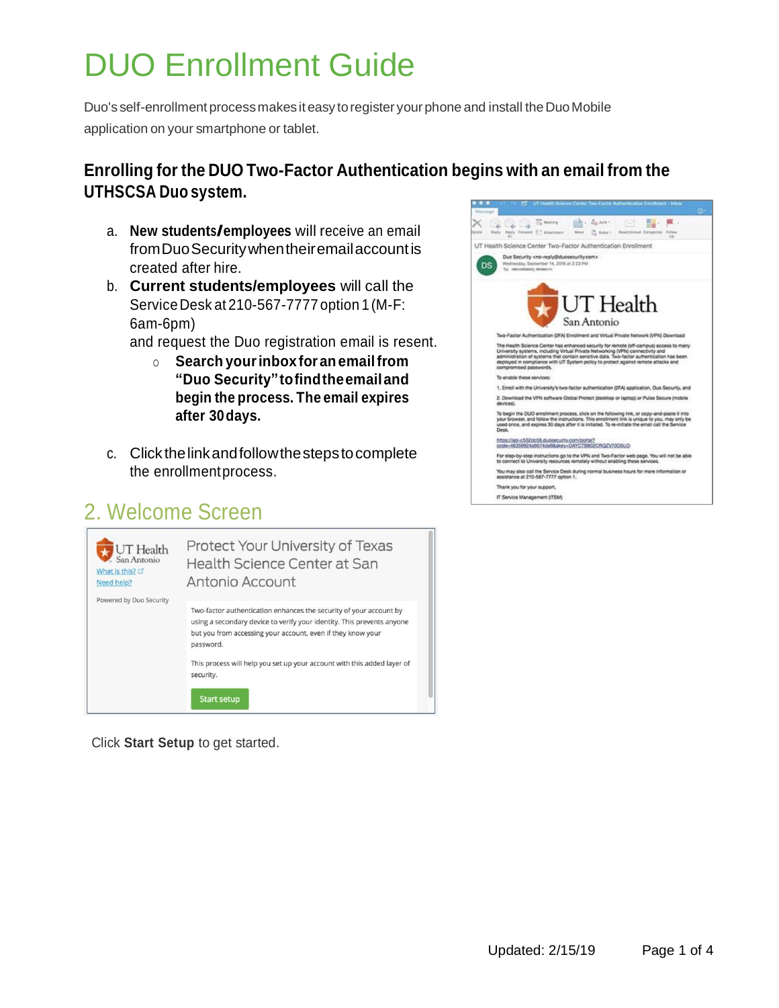# DUO Enrollment Guide

Duo's self-enrollment process makes it easy to register your phone and install the Duo Mobile application on your smartphone or tablet.

#### **Enrolling for the DUO Two-Factor Authentication begins with an email from the UTHSCSA Duo system.**

- a. **New students/employees** will receive an email fromDuoSecuritywhentheiremailaccountis created after hire.
- b. **Current students/employees** will call the ServiceDesk at 210-567-7777 option 1(M-F: 6am-6pm)

and request the Duo registration email is resent.

- o **Search yourinboxforanemailfrom "Duo Security"tofindtheemailand begin the process. The email expires after 30days.**
- c. Click thelinkandfollowthestepstocomplete the enrollmentprocess.

## 2. Welcome Screen



Click **Start Setup** to get started.

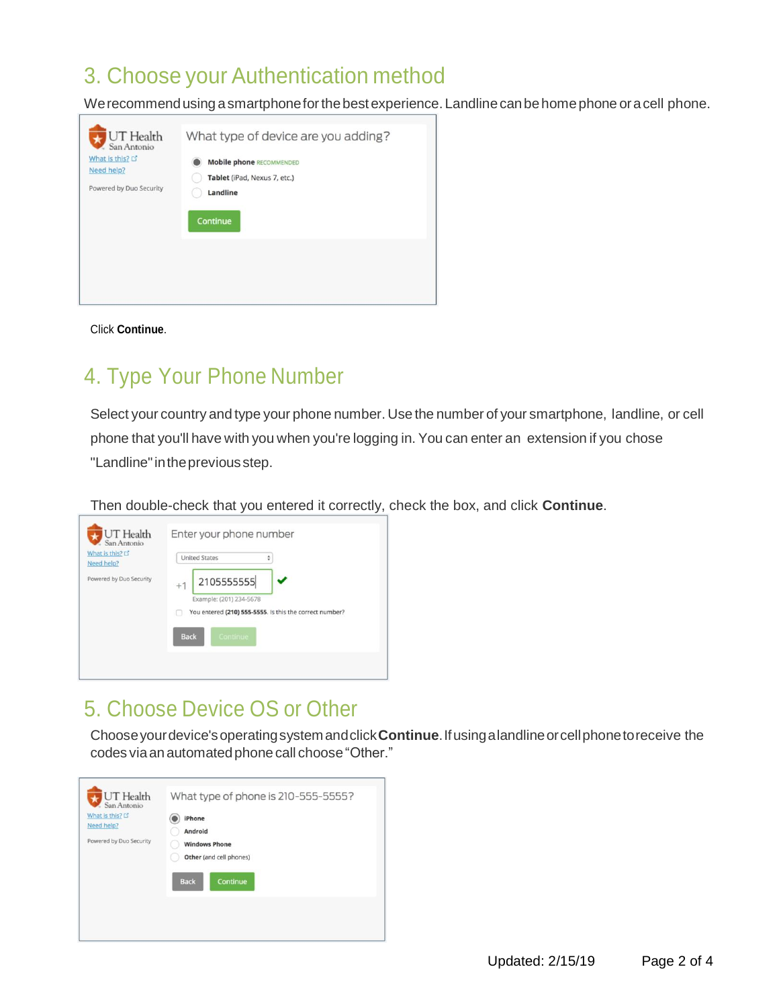## 3. Choose your Authentication method

We recommend using a smartphone for the best experience. Landline can be home phone or a cell phone.

| <b>UT</b> Health        | What type of device are you adding? |
|-------------------------|-------------------------------------|
| San Antonio             | <b>Mobile phone RECOMMENDED</b>     |
| What is this? □         | Tablet (iPad, Nexus 7, etc.)        |
| Need help?              | Landline                            |
| Powered by Duo Security | Continue                            |
|                         |                                     |

Click **Continue**.

## 4. Type Your Phone Number

Select your country and type your phone number. Use the number of your smartphone, landline, or cell phone that you'll have with you when you're logging in. You can enter an extension if you chose "Landline" in the previous step.

Then double-check that you entered it correctly, check the box, and click **Continue**.

| UT Health<br>San Antonio<br>What is this? L'<br>Need help? | Enter your phone number<br><b>United States</b><br>÷                                                                                |
|------------------------------------------------------------|-------------------------------------------------------------------------------------------------------------------------------------|
| Powered by Duo Security                                    | 2105555555<br>$+1$<br>Example: (201) 234-5678<br>You entered (210) 555-5555. Is this the correct number?<br><b>Back</b><br>Continue |

### 5. Choose Device OS or Other

Chooseyourdevice'soperatingsystemandclick**Continue**.Ifusingalandlineorcellphonetoreceive the codes via an automated phone call choose "Other."

![](_page_1_Picture_10.jpeg)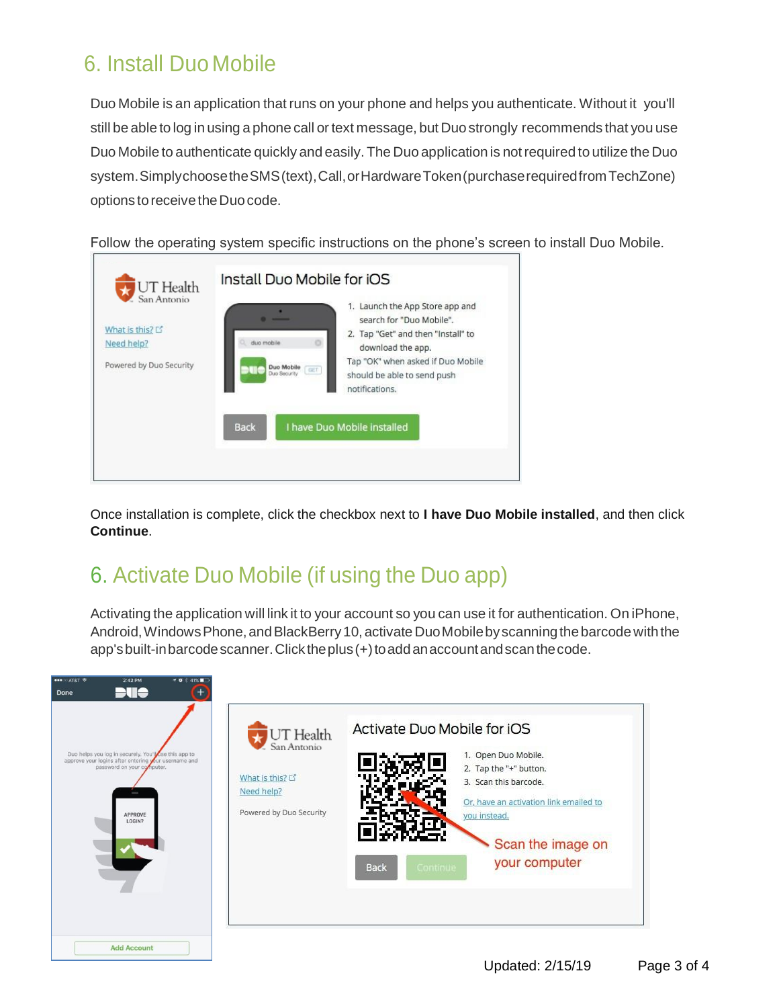## 6. Install Duo Mobile

Duo Mobile is an application that runs on your phone and helps you authenticate. Without it you'll still be able to log in using a phone call or text message, but Duo strongly recommends that you use Duo Mobile to authenticate quickly and easily. The Duo application is notrequired to utilize the Duo system.SimplychoosetheSMS(text),Call,orHardwareToken(purchaserequiredfromTechZone) options to receive the Duo code.

Follow the operating system specific instructions on the phone's screen to install Duo Mobile.

![](_page_2_Picture_3.jpeg)

Once installation is complete, click the checkbox next to **I have Duo Mobile installed**, and then click **Continue**.

## 6. Activate Duo Mobile (if using the Duo app)

Activating the application will link it to your account so you can use it for authentication. On iPhone, Android, Windows Phone, and BlackBerry 10, activate Duo Mobile by scanning the barcode with the app'sbuilt-inbarcodescanner.Clicktheplus(+)toaddanaccountandscanthecode.

![](_page_2_Picture_7.jpeg)